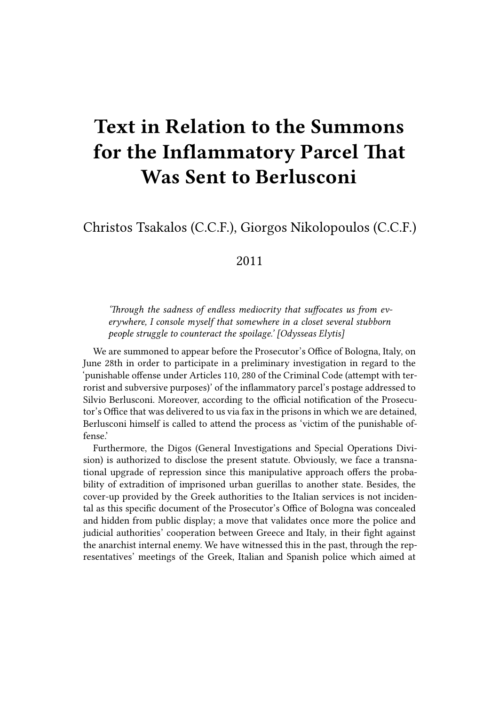## **Text in Relation to the Summons for the Inflammatory Parcel That Was Sent to Berlusconi**

Christos Tsakalos (C.C.F.), Giorgos Nikolopoulos (C.C.F.)

## 2011

*'Through the sadness of endless mediocrity that suffocates us from everywhere, I console myself that somewhere in a closet several stubborn people struggle to counteract the spoilage.' [Odysseas Elytis]*

We are summoned to appear before the Prosecutor's Office of Bologna, Italy, on June 28th in order to participate in a preliminary investigation in regard to the 'punishable offense under Articles 110, 280 of the Criminal Code (attempt with terrorist and subversive purposes)' of the inflammatory parcel's postage addressed to Silvio Berlusconi. Moreover, according to the official notification of the Prosecutor's Office that was delivered to us via fax in the prisons in which we are detained, Berlusconi himself is called to attend the process as 'victim of the punishable offense.'

Furthermore, the Digos (General Investigations and Special Operations Division) is authorized to disclose the present statute. Obviously, we face a transnational upgrade of repression since this manipulative approach offers the probability of extradition of imprisoned urban guerillas to another state. Besides, the cover-up provided by the Greek authorities to the Italian services is not incidental as this specific document of the Prosecutor's Office of Bologna was concealed and hidden from public display; a move that validates once more the police and judicial authorities' cooperation between Greece and Italy, in their fight against the anarchist internal enemy. We have witnessed this in the past, through the representatives' meetings of the Greek, Italian and Spanish police which aimed at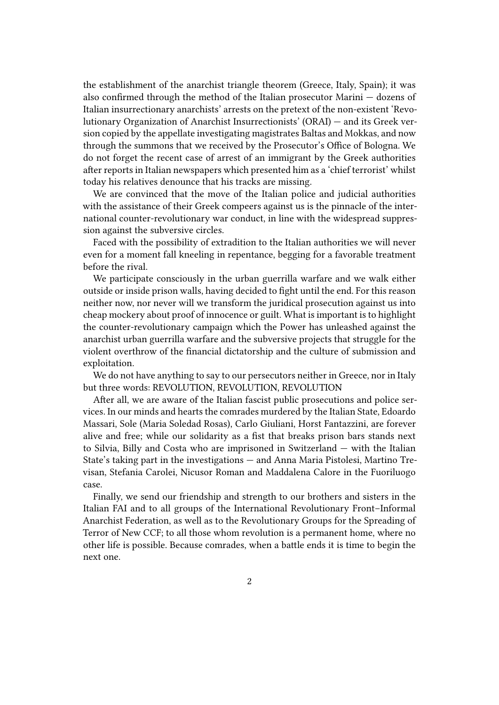the establishment of the anarchist triangle theorem (Greece, Italy, Spain); it was also confirmed through the method of the Italian prosecutor Marini — dozens of Italian insurrectionary anarchists' arrests on the pretext of the non-existent 'Revolutionary Organization of Anarchist Insurrectionists' (ORAI) — and its Greek version copied by the appellate investigating magistrates Baltas and Mokkas, and now through the summons that we received by the Prosecutor's Office of Bologna. We do not forget the recent case of arrest of an immigrant by the Greek authorities after reports in Italian newspapers which presented him as a 'chief terrorist' whilst today his relatives denounce that his tracks are missing.

We are convinced that the move of the Italian police and judicial authorities with the assistance of their Greek compeers against us is the pinnacle of the international counter-revolutionary war conduct, in line with the widespread suppression against the subversive circles.

Faced with the possibility of extradition to the Italian authorities we will never even for a moment fall kneeling in repentance, begging for a favorable treatment before the rival.

We participate consciously in the urban guerrilla warfare and we walk either outside or inside prison walls, having decided to fight until the end. For this reason neither now, nor never will we transform the juridical prosecution against us into cheap mockery about proof of innocence or guilt. What is important is to highlight the counter-revolutionary campaign which the Power has unleashed against the anarchist urban guerrilla warfare and the subversive projects that struggle for the violent overthrow of the financial dictatorship and the culture of submission and exploitation.

We do not have anything to say to our persecutors neither in Greece, nor in Italy but three words: REVOLUTION, REVOLUTION, REVOLUTION

After all, we are aware of the Italian fascist public prosecutions and police services. In our minds and hearts the comrades murdered by the Italian State, Edoardo Massari, Sole (Maria Soledad Rosas), Carlo Giuliani, Horst Fantazzini, are forever alive and free; while our solidarity as a fist that breaks prison bars stands next to Silvia, Billy and Costa who are imprisoned in Switzerland — with the Italian State's taking part in the investigations — and Anna Maria Pistolesi, Martino Trevisan, Stefania Carolei, Nicusor Roman and Maddalena Calore in the Fuoriluogo case.

Finally, we send our friendship and strength to our brothers and sisters in the Italian FAI and to all groups of the International Revolutionary Front–Informal Anarchist Federation, as well as to the Revolutionary Groups for the Spreading of Terror of New CCF; to all those whom revolution is a permanent home, where no other life is possible. Because comrades, when a battle ends it is time to begin the next one.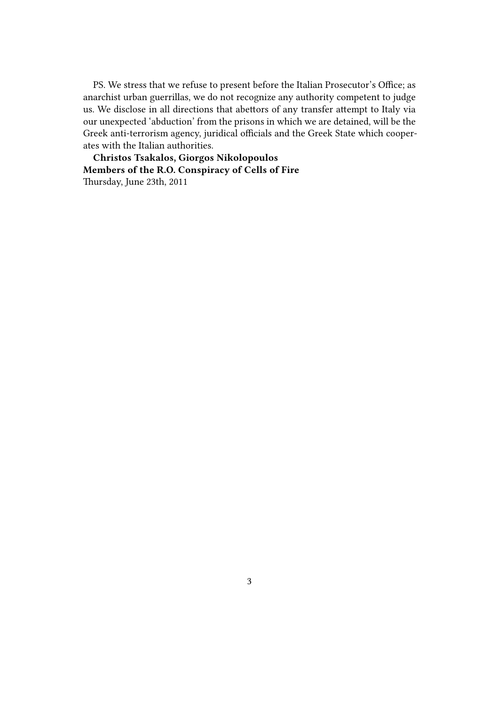PS. We stress that we refuse to present before the Italian Prosecutor's Office; as anarchist urban guerrillas, we do not recognize any authority competent to judge us. We disclose in all directions that abettors of any transfer attempt to Italy via our unexpected 'abduction' from the prisons in which we are detained, will be the Greek anti-terrorism agency, juridical officials and the Greek State which cooperates with the Italian authorities.

**Christos Tsakalos, Giorgos Nikolopoulos Members of the R.O. Conspiracy of Cells of Fire** Thursday, June 23th, 2011